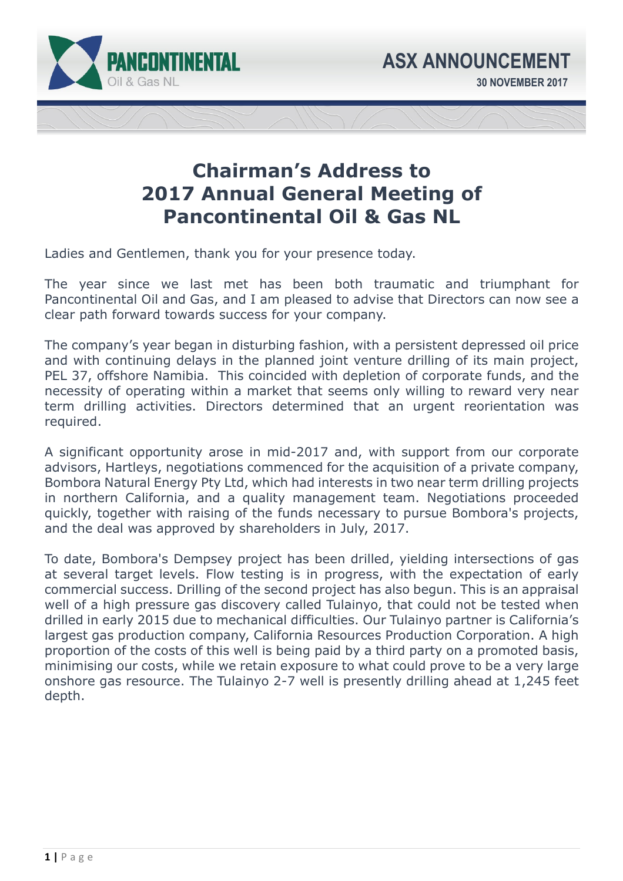

## **Chairman's Address to 2017 Annual General Meeting of Pancontinental Oil & Gas NL**

Ladies and Gentlemen, thank you for your presence today.

The year since we last met has been both traumatic and triumphant for Pancontinental Oil and Gas, and I am pleased to advise that Directors can now see a clear path forward towards success for your company.

The company's year began in disturbing fashion, with a persistent depressed oil price and with continuing delays in the planned joint venture drilling of its main project, PEL 37, offshore Namibia. This coincided with depletion of corporate funds, and the necessity of operating within a market that seems only willing to reward very near term drilling activities. Directors determined that an urgent reorientation was required.

A significant opportunity arose in mid-2017 and, with support from our corporate advisors, Hartleys, negotiations commenced for the acquisition of a private company, Bombora Natural Energy Pty Ltd, which had interests in two near term drilling projects in northern California, and a quality management team. Negotiations proceeded quickly, together with raising of the funds necessary to pursue Bombora's projects, and the deal was approved by shareholders in July, 2017.

To date, Bombora's Dempsey project has been drilled, yielding intersections of gas at several target levels. Flow testing is in progress, with the expectation of early commercial success. Drilling of the second project has also begun. This is an appraisal well of a high pressure gas discovery called Tulainyo, that could not be tested when drilled in early 2015 due to mechanical difficulties. Our Tulainyo partner is California's largest gas production company, California Resources Production Corporation. A high proportion of the costs of this well is being paid by a third party on a promoted basis, minimising our costs, while we retain exposure to what could prove to be a very large onshore gas resource. The Tulainyo 2-7 well is presently drilling ahead at 1,245 feet depth.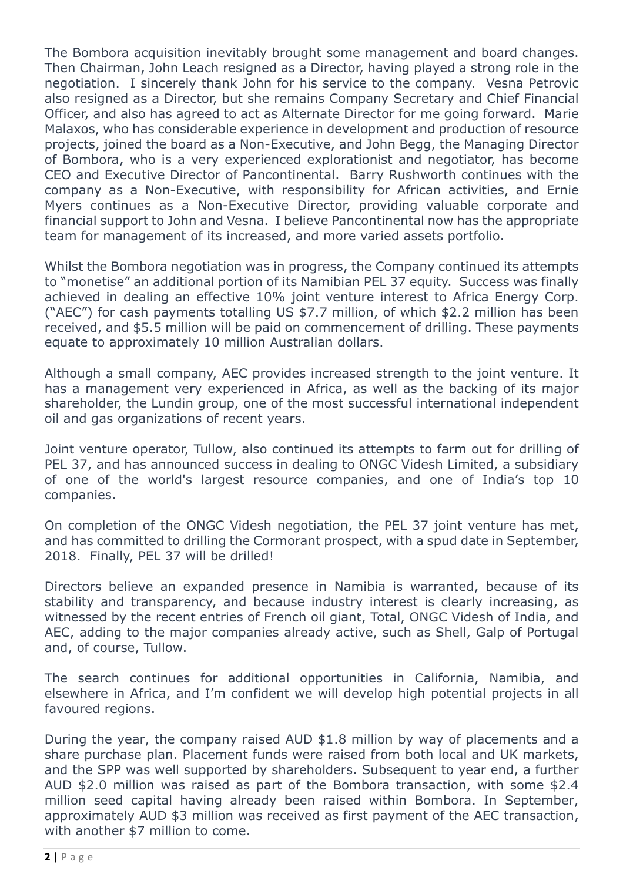The Bombora acquisition inevitably brought some management and board changes. Then Chairman, John Leach resigned as a Director, having played a strong role in the negotiation. I sincerely thank John for his service to the company. Vesna Petrovic also resigned as a Director, but she remains Company Secretary and Chief Financial Officer, and also has agreed to act as Alternate Director for me going forward. Marie Malaxos, who has considerable experience in development and production of resource projects, joined the board as a Non-Executive, and John Begg, the Managing Director of Bombora, who is a very experienced explorationist and negotiator, has become CEO and Executive Director of Pancontinental. Barry Rushworth continues with the company as a Non-Executive, with responsibility for African activities, and Ernie Myers continues as a Non-Executive Director, providing valuable corporate and financial support to John and Vesna. I believe Pancontinental now has the appropriate team for management of its increased, and more varied assets portfolio.

Whilst the Bombora negotiation was in progress, the Company continued its attempts to "monetise" an additional portion of its Namibian PEL 37 equity. Success was finally achieved in dealing an effective 10% joint venture interest to Africa Energy Corp. ("AEC") for cash payments totalling US \$7.7 million, of which \$2.2 million has been received, and \$5.5 million will be paid on commencement of drilling. These payments equate to approximately 10 million Australian dollars.

Although a small company, AEC provides increased strength to the joint venture. It has a management very experienced in Africa, as well as the backing of its major shareholder, the Lundin group, one of the most successful international independent oil and gas organizations of recent years.

Joint venture operator, Tullow, also continued its attempts to farm out for drilling of PEL 37, and has announced success in dealing to ONGC Videsh Limited, a subsidiary of one of the world's largest resource companies, and one of India's top 10 companies.

On completion of the ONGC Videsh negotiation, the PEL 37 joint venture has met, and has committed to drilling the Cormorant prospect, with a spud date in September, 2018. Finally, PEL 37 will be drilled!

Directors believe an expanded presence in Namibia is warranted, because of its stability and transparency, and because industry interest is clearly increasing, as witnessed by the recent entries of French oil giant, Total, ONGC Videsh of India, and AEC, adding to the major companies already active, such as Shell, Galp of Portugal and, of course, Tullow.

The search continues for additional opportunities in California, Namibia, and elsewhere in Africa, and I'm confident we will develop high potential projects in all favoured regions.

During the year, the company raised AUD \$1.8 million by way of placements and a share purchase plan. Placement funds were raised from both local and UK markets, and the SPP was well supported by shareholders. Subsequent to year end, a further AUD \$2.0 million was raised as part of the Bombora transaction, with some \$2.4 million seed capital having already been raised within Bombora. In September, approximately AUD \$3 million was received as first payment of the AEC transaction, with another \$7 million to come.